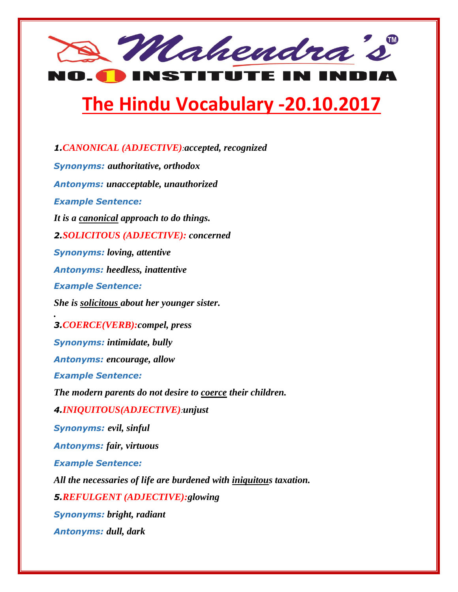

## **The Hindu Vocabulary -20.10.2017**

*1.CANONICAL (ADJECTIVE):accepted, recognized Synonyms: authoritative, orthodox Antonyms: unacceptable, unauthorized Example Sentence: It is a canonical approach to do things. 2.SOLICITOUS (ADJECTIVE): concerned Synonyms: loving, attentive Antonyms: heedless, inattentive Example Sentence: She is solicitous about her younger sister. . 3.COERCE(VERB):compel, press Synonyms: intimidate, bully Antonyms: encourage, allow Example Sentence: The modern parents do not desire to coerce their children. 4.INIQUITOUS(ADJECTIVE):unjust Synonyms: evil, sinful Antonyms: fair, virtuous Example Sentence: All the necessaries of life are burdened with iniquitous taxation. 5.REFULGENT (ADJECTIVE):glowing Synonyms: bright, radiant Antonyms: dull, dark*